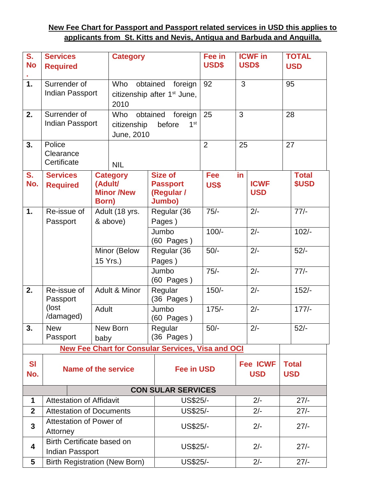## **New Fee Chart for Passport and Passport related services in USD this applies to applicants from St. Kitts and Nevis, Antigua and Barbuda and Anguilla.**

| S.                                                       | <b>Services</b>                               |                           | <b>Category</b>                                                |                               | <b>ICWF</b> in<br>Fee in |    | <b>TOTAL</b>                  |    |              |  |
|----------------------------------------------------------|-----------------------------------------------|---------------------------|----------------------------------------------------------------|-------------------------------|--------------------------|----|-------------------------------|----|--------------|--|
| <b>No</b>                                                | <b>Required</b>                               |                           |                                                                |                               | USD\$                    |    | USD\$                         |    | <b>USD</b>   |  |
| 1.                                                       |                                               |                           | Who                                                            |                               | 92                       | 3  |                               | 95 |              |  |
|                                                          | Surrender of<br><b>Indian Passport</b>        |                           | obtained<br>foreign<br>citizenship after 1 <sup>st</sup> June, |                               |                          |    |                               |    |              |  |
|                                                          |                                               |                           | 2010                                                           |                               |                          |    |                               |    |              |  |
| 2.                                                       | Surrender of                                  |                           | Who                                                            | obtained<br>foreign           |                          |    | 3                             |    | 28           |  |
|                                                          | <b>Indian Passport</b>                        |                           | citizenship<br>before<br>1 <sup>st</sup>                       |                               | 25                       |    |                               |    |              |  |
|                                                          |                                               |                           | June, 2010                                                     |                               |                          |    |                               |    |              |  |
| 3.                                                       | Police                                        |                           |                                                                |                               | 2                        | 25 |                               | 27 |              |  |
|                                                          | Clearance                                     |                           |                                                                |                               |                          |    |                               |    |              |  |
|                                                          |                                               | Certificate<br><b>NIL</b> |                                                                |                               |                          |    |                               |    |              |  |
| S.                                                       | <b>Services</b>                               |                           | <b>Category</b>                                                | <b>Size of</b>                | <b>Fee</b>               | in |                               |    | <b>Total</b> |  |
|                                                          | No.<br>(Adult/<br><b>Required</b><br>Born)    |                           | <b>Minor /New</b>                                              | <b>Passport</b><br>(Regular / | <b>US\$</b>              |    | <b>ICWF</b><br><b>USD</b>     |    | \$USD        |  |
|                                                          |                                               |                           |                                                                | Jumbo)                        |                          |    |                               |    |              |  |
| 1.                                                       | Re-issue of                                   |                           | Adult (18 yrs.                                                 | Regular (36                   | $75/-$                   |    | $2/-$                         |    | $77/-$       |  |
|                                                          | Passport                                      |                           | & above)                                                       | Pages)                        |                          |    |                               |    |              |  |
|                                                          |                                               |                           |                                                                | Jumbo                         | $100/-$                  |    | $2/-$                         |    | $102/-$      |  |
|                                                          |                                               |                           |                                                                | $(60$ Pages)                  | $50/-$                   |    | $2/-$                         |    | $52/-$       |  |
|                                                          |                                               |                           | Minor (Below<br>15 Yrs.)                                       | Regular (36<br>Pages)         |                          |    |                               |    |              |  |
|                                                          |                                               |                           |                                                                | Jumbo                         | $75/-$                   |    | $2/-$                         |    | $77/-$       |  |
|                                                          |                                               |                           |                                                                | $(60$ Pages)                  |                          |    |                               |    |              |  |
| 2.                                                       | Re-issue of                                   |                           | Adult & Minor                                                  | Regular                       | $150/-$                  |    | $2/-$                         |    | $152/-$      |  |
|                                                          | Passport<br>(lost<br>Adult<br>/damaged)       |                           |                                                                | $(36$ Pages)                  |                          |    |                               |    |              |  |
|                                                          |                                               |                           |                                                                | Jumbo<br>(60 Pages)           | $175/-$                  |    | $2/-$                         |    | $177/-$      |  |
| 3.                                                       | <b>New</b>                                    |                           | New Born                                                       | Regular                       | $50/-$                   |    | $2/-$                         |    | $52/-$       |  |
|                                                          | Passport                                      | baby                      |                                                                | $(36$ Pages)                  |                          |    |                               |    |              |  |
| <b>New Fee Chart for Consular Services, Visa and OCI</b> |                                               |                           |                                                                |                               |                          |    |                               |    |              |  |
| <b>SI</b>                                                |                                               |                           |                                                                |                               |                          |    |                               |    | <b>Total</b> |  |
| No.                                                      | <b>Name of the service</b>                    |                           |                                                                |                               | <b>Fee in USD</b>        |    | <b>Fee ICWF</b><br><b>USD</b> |    | <b>USD</b>   |  |
|                                                          |                                               |                           |                                                                |                               |                          |    |                               |    |              |  |
| <b>CON SULAR SERVICES</b>                                |                                               |                           |                                                                |                               |                          |    |                               |    |              |  |
| 1                                                        | <b>Attestation of Affidavit</b>               |                           |                                                                | US\$25/-                      | $2/-$                    |    | $27/-$                        |    |              |  |
| $\mathbf{2}$                                             | <b>Attestation of Documents</b>               |                           |                                                                | US\$25/-                      |                          |    | $2/-$                         |    | $27/-$       |  |
| $\mathbf{3}$                                             | Attestation of Power of                       |                           |                                                                | <b>US\$25/-</b>               | $2/-$                    |    |                               |    | $27/-$       |  |
|                                                          | Attorney                                      |                           |                                                                |                               |                          |    |                               |    |              |  |
| 4                                                        | Birth Certificate based on<br>Indian Passport |                           |                                                                | <b>US\$25/-</b>               |                          |    | $2/-$                         |    | $27/-$       |  |
| 5                                                        | <b>Birth Registration (New Born)</b>          |                           |                                                                | US\$25/-                      |                          |    | $2/-$                         |    | $27/-$       |  |
|                                                          |                                               |                           |                                                                |                               |                          |    |                               |    |              |  |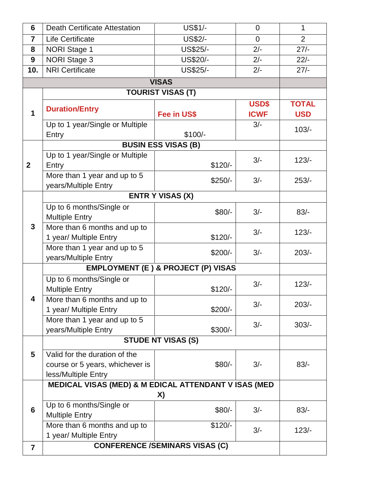| 6                       | <b>Death Certificate Attestation</b>                                                    | <b>US\$1/-</b>             | $\mathbf 0$          | $\mathbf{1}$               |
|-------------------------|-----------------------------------------------------------------------------------------|----------------------------|----------------------|----------------------------|
| $\overline{7}$          | Life Certificate                                                                        | <b>US\$2/-</b>             | $\overline{0}$       | $\overline{2}$             |
| 8                       | <b>NORI Stage 1</b>                                                                     | US\$25/-                   | $2/-$                | $27/-$                     |
| 9                       | NORI Stage 3<br>US\$20/-                                                                |                            | $2/-$                | $22/-$                     |
| 10.                     | <b>NRI Certificate</b>                                                                  | US\$25/-                   | $2/-$                | $27/-$                     |
|                         |                                                                                         | <b>VISAS</b>               |                      |                            |
|                         | <b>TOURIST VISAS (T)</b>                                                                |                            |                      |                            |
| $\mathbf 1$             | <b>Duration/Entry</b><br>Fee in US\$                                                    |                            | USD\$<br><b>ICWF</b> | <b>TOTAL</b><br><b>USD</b> |
|                         | Up to 1 year/Single or Multiple<br>Entry                                                | $$100/-$                   | $3/-$                | $103/-$                    |
|                         |                                                                                         | <b>BUSIN ESS VISAS (B)</b> |                      |                            |
| $\mathbf{2}$            | Up to 1 year/Single or Multiple<br>$$120/-$<br>Entry                                    |                            | $3/-$                | $123/-$                    |
|                         | More than 1 year and up to 5<br>years/Multiple Entry                                    | $$250/-$                   | $3/-$                | $253/-$                    |
|                         |                                                                                         | <b>ENTR Y VISAS (X)</b>    |                      |                            |
|                         | Up to 6 months/Single or<br>$$80/-$<br><b>Multiple Entry</b>                            |                            | $3/-$                | $83/-$                     |
| 3                       | More than 6 months and up to<br>1 year/ Multiple Entry<br>$$120/-$                      |                            | $3/-$                | $123/-$                    |
|                         | More than 1 year and up to 5<br>years/Multiple Entry                                    | $$200/-$                   | $3/-$                | $203/-$                    |
|                         | <b>EMPLOYMENT (E) &amp; PROJECT (P) VISAS</b>                                           |                            |                      |                            |
|                         | Up to 6 months/Single or<br><b>Multiple Entry</b>                                       | $$120/-$                   | $3/-$                | $123/-$                    |
| 4                       | More than 6 months and up to<br>1 year/ Multiple Entry                                  | $$200/-$                   | $3/-$                | $203/-$                    |
|                         | More than 1 year and up to 5<br>years/Multiple Entry                                    | $$300/-$                   | $3/-$                | $303/-$                    |
|                         | <b>STUDE NT VISAS (S)</b>                                                               |                            |                      |                            |
| 5                       | Valid for the duration of the<br>course or 5 years, whichever is<br>less/Multiple Entry | $$80/-$                    | $3/-$                | $83/-$                     |
|                         | <b>MEDICAL VISAS (MED) &amp; M EDICAL ATTENDANT V ISAS (MED</b>                         |                            |                      |                            |
| 6                       |                                                                                         |                            |                      |                            |
|                         | Up to 6 months/Single or<br><b>Multiple Entry</b>                                       | $3/-$                      | $83/-$               |                            |
|                         | More than 6 months and up to<br>1 year/ Multiple Entry                                  | $$120/-$                   | $3/-$                | $123/-$                    |
| $\overline{\mathbf{z}}$ | <b>CONFERENCE /SEMINARS VISAS (C)</b>                                                   |                            |                      |                            |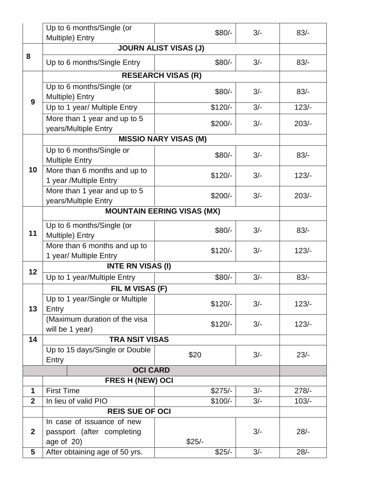|                 | Up to 6 months/Single (or<br>Multiple) Entry           | $$80/-$                           | $3/-$ | $83/-$  |  |  |  |
|-----------------|--------------------------------------------------------|-----------------------------------|-------|---------|--|--|--|
|                 | <b>JOURN ALIST VISAS (J)</b>                           |                                   |       |         |  |  |  |
| 8               | Up to 6 months/Single Entry                            | $$80/-$                           | $3/-$ | $83/-$  |  |  |  |
|                 | <b>RESEARCH VISAS (R)</b>                              |                                   |       |         |  |  |  |
| 9               | Up to 6 months/Single (or<br>Multiple) Entry           | $$80/-$                           | $3/-$ | $83/-$  |  |  |  |
|                 | Up to 1 year/ Multiple Entry                           | $$120/-$                          | $3/-$ | $123/-$ |  |  |  |
|                 | More than 1 year and up to 5<br>years/Multiple Entry   | $$200/-$                          | $3/-$ | $203/-$ |  |  |  |
|                 |                                                        | <b>MISSIO NARY VISAS (M)</b>      |       |         |  |  |  |
| 10              | Up to 6 months/Single or<br><b>Multiple Entry</b>      | $$80/-$                           | $3/-$ | $83/-$  |  |  |  |
|                 | More than 6 months and up to<br>1 year /Multiple Entry | $$120/-$                          | $3/-$ | $123/-$ |  |  |  |
|                 | More than 1 year and up to 5<br>years/Multiple Entry   | $$200/-$                          | $3/-$ | $203/-$ |  |  |  |
|                 |                                                        | <b>MOUNTAIN EERING VISAS (MX)</b> |       |         |  |  |  |
| 11              | Up to 6 months/Single (or<br>Multiple) Entry           | $$80/-$                           | $3/-$ | $83/-$  |  |  |  |
|                 | More than 6 months and up to<br>1 year/ Multiple Entry | $$120/-$                          | $3/-$ | $123/-$ |  |  |  |
| 12              | <b>INTE RN VISAS (I)</b>                               |                                   |       |         |  |  |  |
|                 | Up to 1 year/Multiple Entry<br>$$80/-$<br>$3/-$        |                                   |       | $83/-$  |  |  |  |
|                 | FIL M VISAS (F)                                        |                                   |       |         |  |  |  |
| 13              | Up to 1 year/Single or Multiple<br>Entry               | $$120/-$                          | $3/-$ | $123/-$ |  |  |  |
|                 | (Maximum duration of the visa<br>will be 1 year)       | $$120/-$                          | $3/-$ | $123/-$ |  |  |  |
| 14              | <b>TRA NSIT VISAS</b>                                  |                                   |       |         |  |  |  |
|                 | Up to 15 days/Single or Double<br>Entry                | \$20                              | $3/-$ | $23/-$  |  |  |  |
|                 | <b>OCI CARD</b>                                        |                                   |       |         |  |  |  |
|                 | FRES H (NEW) OCI                                       |                                   |       |         |  |  |  |
| 1               | <b>First Time</b>                                      | $$275/-$                          | $3/-$ | $278/-$ |  |  |  |
| $\overline{2}$  | In lieu of valid PIO                                   | $$100/-$                          | $3/-$ | $103/-$ |  |  |  |
|                 | <b>REIS SUE OF OCI</b>                                 |                                   |       |         |  |  |  |
|                 | In case of issuance of new                             |                                   |       |         |  |  |  |
| $\mathbf{2}$    | passport (after completing<br>age of $20$ )            | $$25/-$                           | $3/-$ | $28/-$  |  |  |  |
| $5\phantom{.0}$ | After obtaining age of 50 yrs.                         | $$25/-$                           | $3/-$ | $28/-$  |  |  |  |